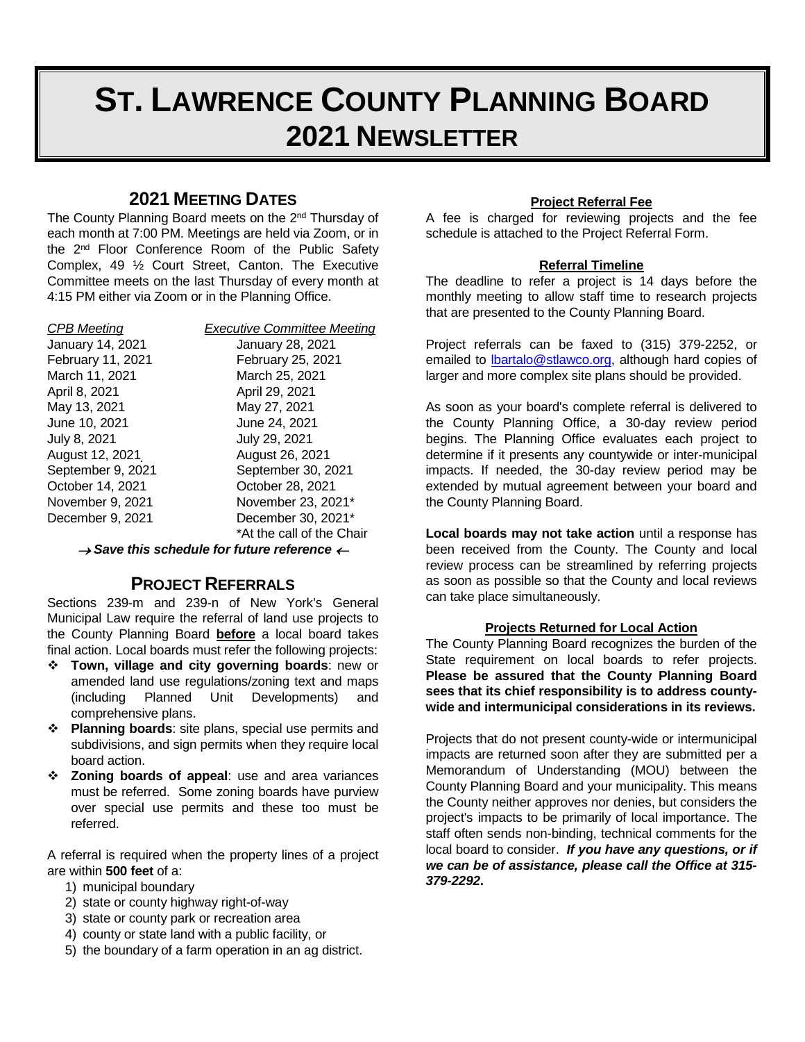# **ST. LAWRENCE COUNTY PLANNING BOARD 2021 NEWSLETTER**

# **2021 MEETING DATES**

The County Planning Board meets on the 2<sup>nd</sup> Thursday of each month at 7:00 PM. Meetings are held via Zoom, or in the 2nd Floor Conference Room of the Public Safety Complex, 49 ½ Court Street, Canton. The Executive Committee meets on the last Thursday of every month at 4:15 PM either via Zoom or in the Planning Office.

March 11, 2021 March 25, 2021<br>April 8, 2021 April 29, 2021 May 13, 2021 May 27, 2021 June 10, 2021 June 24, 2021 July 8, 2021 July 29, 2021 August 12, 2021 <br>
September 9, 2021 <br>
September 30, 2

*CPB Meeting Executive Committee Meeting* January 14, 2021 January 28, 2021 February 11, 2021 February 25, 2021 April 29, 2021 September 30, 2021 October 14, 2021 October 28, 2021 November 9, 2021 November 23, 2021\* December 9, 2021 December 30, 2021\* \*At the call of the Chair

<sup>→</sup> *Save this schedule for future reference* <sup>←</sup>

# **PROJECT REFERRALS**

Sections 239-m and 239-n of New York's General Municipal Law require the referral of land use projects to the County Planning Board **before** a local board takes final action. Local boards must refer the following projects:

- **Town, village and city governing boards**: new or amended land use regulations/zoning text and maps (including Planned Unit Developments) and comprehensive plans.
- **Planning boards**: site plans, special use permits and subdivisions, and sign permits when they require local board action.
- **Zoning boards of appeal**: use and area variances must be referred. Some zoning boards have purview over special use permits and these too must be referred.

A referral is required when the property lines of a project are within **500 feet** of a:

- 1) municipal boundary
- 2) state or county highway right-of-way
- 3) state or county park or recreation area
- 4) county or state land with a public facility, or
- 5) the boundary of a farm operation in an ag district.

#### **Project Referral Fee**

A fee is charged for reviewing projects and the fee schedule is attached to the Project Referral Form.

#### **Referral Timeline**

The deadline to refer a project is 14 days before the monthly meeting to allow staff time to research projects that are presented to the County Planning Board.

Project referrals can be faxed to (315) 379-2252, or emailed to [lbartalo@stlawco.org,](mailto:lbartalo@stlawco.org) although hard copies of larger and more complex site plans should be provided.

As soon as your board's complete referral is delivered to the County Planning Office, a 30-day review period begins. The Planning Office evaluates each project to determine if it presents any countywide or inter-municipal impacts. If needed, the 30-day review period may be extended by mutual agreement between your board and the County Planning Board.

**Local boards may not take action** until a response has been received from the County. The County and local review process can be streamlined by referring projects as soon as possible so that the County and local reviews can take place simultaneously.

#### **Projects Returned for Local Action**

The County Planning Board recognizes the burden of the State requirement on local boards to refer projects. **Please be assured that the County Planning Board sees that its chief responsibility is to address countywide and intermunicipal considerations in its reviews.**

Projects that do not present county-wide or intermunicipal impacts are returned soon after they are submitted per a Memorandum of Understanding (MOU) between the County Planning Board and your municipality. This means the County neither approves nor denies, but considers the project's impacts to be primarily of local importance. The staff often sends non-binding, technical comments for the local board to consider. *If you have any questions, or if we can be of assistance, please call the Office at 315- 379-2292***.**